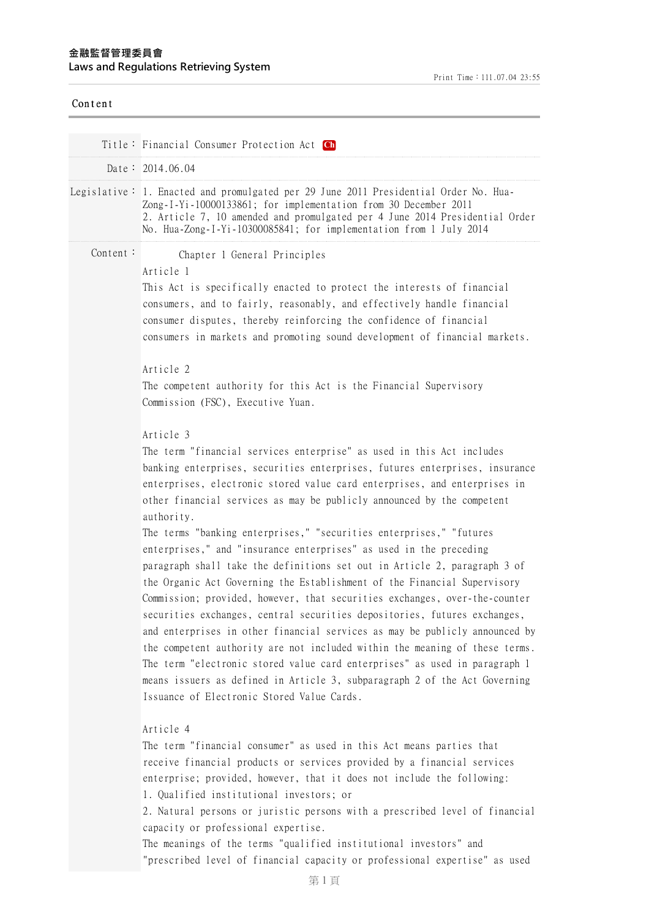| Content  |                                                                                                                                                                                                                                                                                                                                                                                                                                                                                                                                                                                                                                                                                                                                                                                                                                                                                                                                                                                                                                                                                                                                                                    |
|----------|--------------------------------------------------------------------------------------------------------------------------------------------------------------------------------------------------------------------------------------------------------------------------------------------------------------------------------------------------------------------------------------------------------------------------------------------------------------------------------------------------------------------------------------------------------------------------------------------------------------------------------------------------------------------------------------------------------------------------------------------------------------------------------------------------------------------------------------------------------------------------------------------------------------------------------------------------------------------------------------------------------------------------------------------------------------------------------------------------------------------------------------------------------------------|
|          | Title: Financial Consumer Protection Act Ch                                                                                                                                                                                                                                                                                                                                                                                                                                                                                                                                                                                                                                                                                                                                                                                                                                                                                                                                                                                                                                                                                                                        |
|          | Date: $2014.06.04$                                                                                                                                                                                                                                                                                                                                                                                                                                                                                                                                                                                                                                                                                                                                                                                                                                                                                                                                                                                                                                                                                                                                                 |
|          | Legislative: 1. Enacted and promulgated per 29 June 2011 Presidential Order No. Hua-<br>Zong-I-Yi-10000133861; for implementation from 30 December 2011<br>2. Article 7, 10 amended and promulgated per 4 June 2014 Presidential Order<br>No. Hua-Zong-I-Yi-10300085841; for implementation from 1 July 2014                                                                                                                                                                                                                                                                                                                                                                                                                                                                                                                                                                                                                                                                                                                                                                                                                                                       |
| Content: | Chapter 1 General Principles<br>Article 1<br>This Act is specifically enacted to protect the interests of financial<br>consumers, and to fairly, reasonably, and effectively handle financial<br>consumer disputes, thereby reinforcing the confidence of financial<br>consumers in markets and promoting sound development of financial markets.<br>Article 2<br>The competent authority for this Act is the Financial Supervisory<br>Commission (FSC), Executive Yuan.<br>Article 3                                                                                                                                                                                                                                                                                                                                                                                                                                                                                                                                                                                                                                                                              |
|          | The term "financial services enterprise" as used in this Act includes<br>banking enterprises, securities enterprises, futures enterprises, insurance<br>enterprises, electronic stored value card enterprises, and enterprises in<br>other financial services as may be publicly announced by the competent<br>authority.<br>The terms "banking enterprises," "securities enterprises," "futures<br>enterprises," and "insurance enterprises" as used in the preceding<br>paragraph shall take the definitions set out in Article 2, paragraph 3 of<br>the Organic Act Governing the Establishment of the Financial Supervisory<br>Commission; provided, however, that securities exchanges, over-the-counter<br>securities exchanges, central securities depositories, futures exchanges,<br>and enterprises in other financial services as may be publicly announced by<br>the competent authority are not included within the meaning of these terms.<br>The term "electronic stored value card enterprises" as used in paragraph 1<br>means issuers as defined in Article 3, subparagraph 2 of the Act Governing<br>Issuance of Electronic Stored Value Cards. |
|          | Article 4<br>The term "financial consumer" as used in this Act means parties that<br>receive financial products or services provided by a financial services<br>enterprise; provided, however, that it does not include the following:<br>1. Qualified institutional investors; or<br>2. Natural persons or juristic persons with a prescribed level of financial<br>capacity or professional expertise.<br>The meanings of the terms "qualified institutional investors" and<br>"prescribed level of financial capacity or professional expertise" as used                                                                                                                                                                                                                                                                                                                                                                                                                                                                                                                                                                                                        |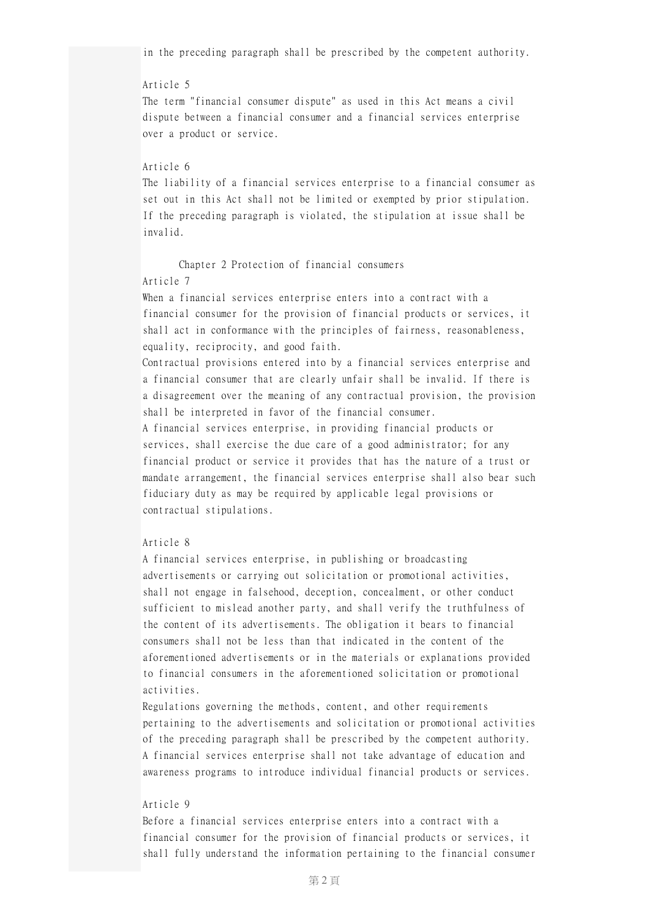in the preceding paragraph shall be prescribed by the competent authority.

## Article 5

The term "financial consumer dispute" as used in this Act means a civil dispute between a financial consumer and a financial services enterprise over a product or service.

## Article 6

The liability of a financial services enterprise to a financial consumer as set out in this Act shall not be limited or exempted by prior stipulation. If the preceding paragraph is violated, the stipulation at issue shall be invalid.

# Chapter 2 Protection of financial consumers

## Article 7

When a financial services enterprise enters into a contract with a financial consumer for the provision of financial products or services, it shall act in conformance with the principles of fairness, reasonableness, equality, reciprocity, and good faith.

Contractual provisions entered into by a financial services enterprise and a financial consumer that are clearly unfair shall be invalid. If there is a disagreement over the meaning of any contractual provision, the provision shall be interpreted in favor of the financial consumer.

A financial services enterprise, in providing financial products or services, shall exercise the due care of a good administrator; for any financial product or service it provides that has the nature of a trust or mandate arrangement, the financial services enterprise shall also bear such fiduciary duty as may be required by applicable legal provisions or contractual stipulations.

## Article 8

A financial services enterprise, in publishing or broadcasting advertisements or carrying out solicitation or promotional activities, shall not engage in falsehood, deception, concealment, or other conduct sufficient to mislead another party, and shall verify the truthfulness of the content of its advertisements. The obligation it bears to financial consumers shall not be less than that indicated in the content of the aforementioned advertisements or in the materials or explanations provided to financial consumers in the aforementioned solicitation or promotional activities.

Regulations governing the methods, content, and other requirements pertaining to the advertisements and solicitation or promotional activities of the preceding paragraph shall be prescribed by the competent authority. A financial services enterprise shall not take advantage of education and awareness programs to introduce individual financial products or services.

## Article 9

Before a financial services enterprise enters into a contract with a financial consumer for the provision of financial products or services, it shall fully understand the information pertaining to the financial consumer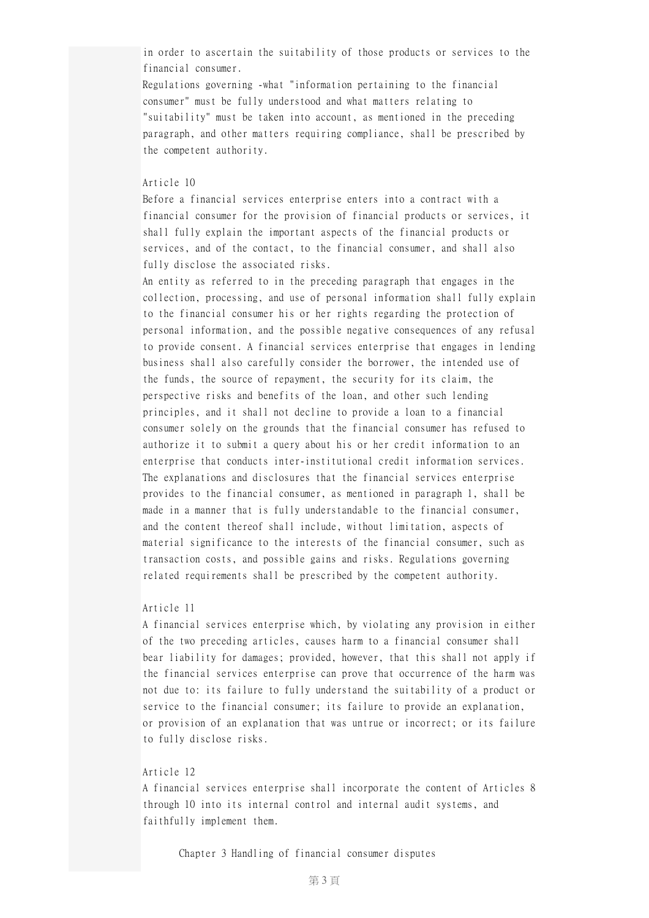in order to ascertain the suitability of those products or services to the financial consumer.

Regulations governing -what "information pertaining to the financial consumer" must be fully understood and what matters relating to "suitability" must be taken into account, as mentioned in the preceding paragraph, and other matters requiring compliance, shall be prescribed by the competent authority.

#### Article 10

Before a financial services enterprise enters into a contract with a financial consumer for the provision of financial products or services, it shall fully explain the important aspects of the financial products or services, and of the contact, to the financial consumer, and shall also fully disclose the associated risks.

An entity as referred to in the preceding paragraph that engages in the collection, processing, and use of personal information shall fully explain to the financial consumer his or her rights regarding the protection of personal information, and the possible negative consequences of any refusal to provide consent. A financial services enterprise that engages in lending business shall also carefully consider the borrower, the intended use of the funds, the source of repayment, the security for its claim, the perspective risks and benefits of the loan, and other such lending principles, and it shall not decline to provide a loan to a financial consumer solely on the grounds that the financial consumer has refused to authorize it to submit a query about his or her credit information to an enterprise that conducts inter-institutional credit information services. The explanations and disclosures that the financial services enterprise provides to the financial consumer, as mentioned in paragraph 1, shall be made in a manner that is fully understandable to the financial consumer, and the content thereof shall include, without limitation, aspects of material significance to the interests of the financial consumer, such as transaction costs, and possible gains and risks. Regulations governing related requirements shall be prescribed by the competent authority.

#### Article 11

A financial services enterprise which, by violating any provision in either of the two preceding articles, causes harm to a financial consumer shall bear liability for damages; provided, however, that this shall not apply if the financial services enterprise can prove that occurrence of the harm was not due to: its failure to fully understand the suitability of a product or service to the financial consumer; its failure to provide an explanation, or provision of an explanation that was untrue or incorrect; or its failure to fully disclose risks.

## Article 12

A financial services enterprise shall incorporate the content of Articles 8 through 10 into its internal control and internal audit systems, and faithfully implement them.

Chapter 3 Handling of financial consumer disputes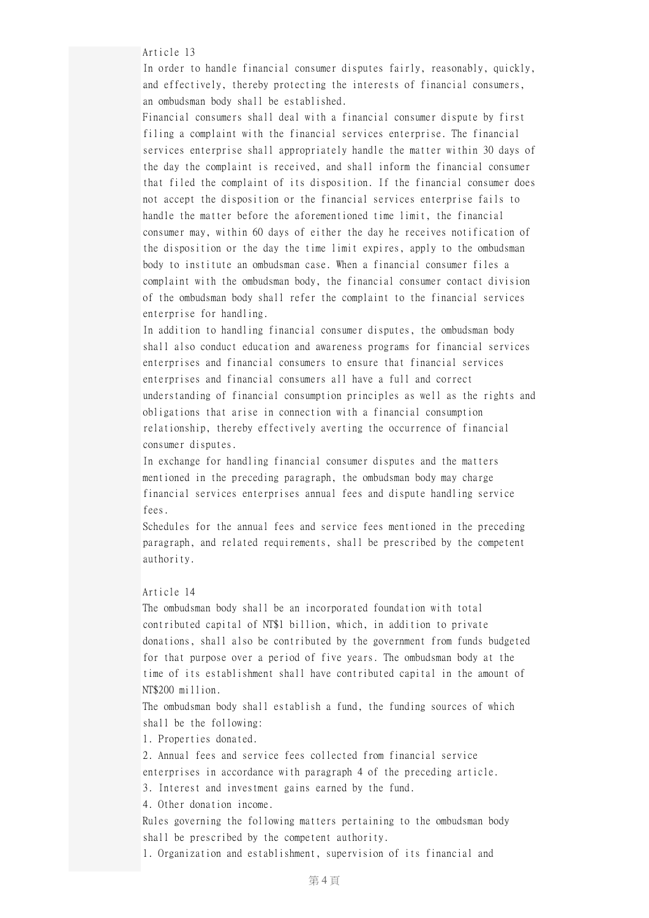Article 13

In order to handle financial consumer disputes fairly, reasonably, quickly, and effectively, thereby protecting the interests of financial consumers, an ombudsman body shall be established.

Financial consumers shall deal with a financial consumer dispute by first filing a complaint with the financial services enterprise. The financial services enterprise shall appropriately handle the matter within 30 days of the day the complaint is received, and shall inform the financial consumer that filed the complaint of its disposition. If the financial consumer does not accept the disposition or the financial services enterprise fails to handle the matter before the aforementioned time limit, the financial consumer may, within 60 days of either the day he receives notification of the disposition or the day the time limit expires, apply to the ombudsman body to institute an ombudsman case. When a financial consumer files a complaint with the ombudsman body, the financial consumer contact division of the ombudsman body shall refer the complaint to the financial services enterprise for handling.

In addition to handling financial consumer disputes, the ombudsman body shall also conduct education and awareness programs for financial services enterprises and financial consumers to ensure that financial services enterprises and financial consumers all have a full and correct understanding of financial consumption principles as well as the rights and obligations that arise in connection with a financial consumption relationship, thereby effectively averting the occurrence of financial consumer disputes.

In exchange for handling financial consumer disputes and the matters mentioned in the preceding paragraph, the ombudsman body may charge financial services enterprises annual fees and dispute handling service fees.

Schedules for the annual fees and service fees mentioned in the preceding paragraph, and related requirements, shall be prescribed by the competent authority.

## Article 14

The ombudsman body shall be an incorporated foundation with total contributed capital of NT\$1 billion, which, in addition to private donations, shall also be contributed by the government from funds budgeted for that purpose over a period of five years. The ombudsman body at the time of its establishment shall have contributed capital in the amount of NT\$200 million.

The ombudsman body shall establish a fund, the funding sources of which shall be the following:

1. Properties donated.

2. Annual fees and service fees collected from financial service enterprises in accordance with paragraph 4 of the preceding article.

3. Interest and investment gains earned by the fund.

4. Other donation income.

Rules governing the following matters pertaining to the ombudsman body shall be prescribed by the competent authority.

1. Organization and establishment, supervision of its financial and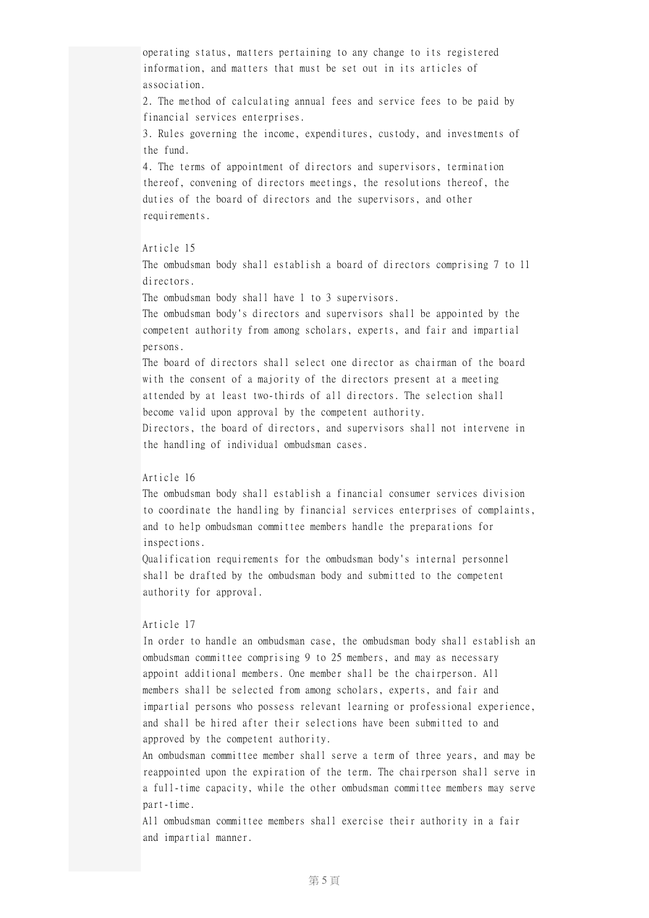operating status, matters pertaining to any change to its registered information, and matters that must be set out in its articles of association.

2. The method of calculating annual fees and service fees to be paid by financial services enterprises.

3. Rules governing the income, expenditures, custody, and investments of the fund.

4. The terms of appointment of directors and supervisors, termination thereof, convening of directors meetings, the resolutions thereof, the duties of the board of directors and the supervisors, and other requirements.

## Article 15

The ombudsman body shall establish a board of directors comprising 7 to 11 directors.

The ombudsman body shall have 1 to 3 supervisors.

The ombudsman body's directors and supervisors shall be appointed by the competent authority from among scholars, experts, and fair and impartial persons.

The board of directors shall select one director as chairman of the board with the consent of a majority of the directors present at a meeting attended by at least two-thirds of all directors. The selection shall become valid upon approval by the competent authority.

Directors, the board of directors, and supervisors shall not intervene in the handling of individual ombudsman cases.

### Article 16

The ombudsman body shall establish a financial consumer services division to coordinate the handling by financial services enterprises of complaints, and to help ombudsman committee members handle the preparations for inspections.

Qualification requirements for the ombudsman body's internal personnel shall be drafted by the ombudsman body and submitted to the competent authority for approval.

### Article 17

In order to handle an ombudsman case, the ombudsman body shall establish an ombudsman committee comprising 9 to 25 members, and may as necessary appoint additional members. One member shall be the chairperson. All members shall be selected from among scholars, experts, and fair and impartial persons who possess relevant learning or professional experience, and shall be hired after their selections have been submitted to and approved by the competent authority.

An ombudsman committee member shall serve a term of three years, and may be reappointed upon the expiration of the term. The chairperson shall serve in a full-time capacity, while the other ombudsman committee members may serve part-time.

All ombudsman committee members shall exercise their authority in a fair and impartial manner.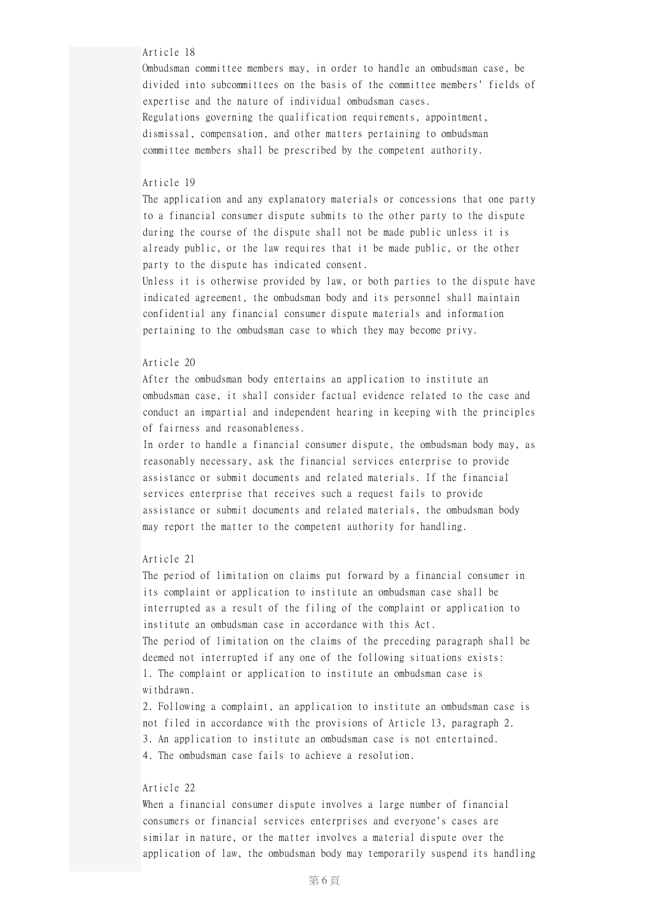#### Article 18

Ombudsman committee members may, in order to handle an ombudsman case, be divided into subcommittees on the basis of the committee members' fields of expertise and the nature of individual ombudsman cases. Regulations governing the qualification requirements, appointment, dismissal, compensation, and other matters pertaining to ombudsman committee members shall be prescribed by the competent authority.

#### Article 19

The application and any explanatory materials or concessions that one party to a financial consumer dispute submits to the other party to the dispute during the course of the dispute shall not be made public unless it is already public, or the law requires that it be made public, or the other party to the dispute has indicated consent.

Unless it is otherwise provided by law, or both parties to the dispute have indicated agreement, the ombudsman body and its personnel shall maintain confidential any financial consumer dispute materials and information pertaining to the ombudsman case to which they may become privy.

### Article 20

After the ombudsman body entertains an application to institute an ombudsman case, it shall consider factual evidence related to the case and conduct an impartial and independent hearing in keeping with the principles of fairness and reasonableness.

In order to handle a financial consumer dispute, the ombudsman body may, as reasonably necessary, ask the financial services enterprise to provide assistance or submit documents and related materials. If the financial services enterprise that receives such a request fails to provide assistance or submit documents and related materials, the ombudsman body may report the matter to the competent authority for handling.

#### Article 21

The period of limitation on claims put forward by a financial consumer in its complaint or application to institute an ombudsman case shall be interrupted as a result of the filing of the complaint or application to institute an ombudsman case in accordance with this Act. The period of limitation on the claims of the preceding paragraph shall be deemed not interrupted if any one of the following situations exists: 1. The complaint or application to institute an ombudsman case is withdrawn.

2. Following a complaint, an application to institute an ombudsman case is not filed in accordance with the provisions of Article 13, paragraph 2. 3. An application to institute an ombudsman case is not entertained. 4. The ombudsman case fails to achieve a resolution.

## Article 22

When a financial consumer dispute involves a large number of financial consumers or financial services enterprises and everyone's cases are similar in nature, or the matter involves a material dispute over the application of law, the ombudsman body may temporarily suspend its handling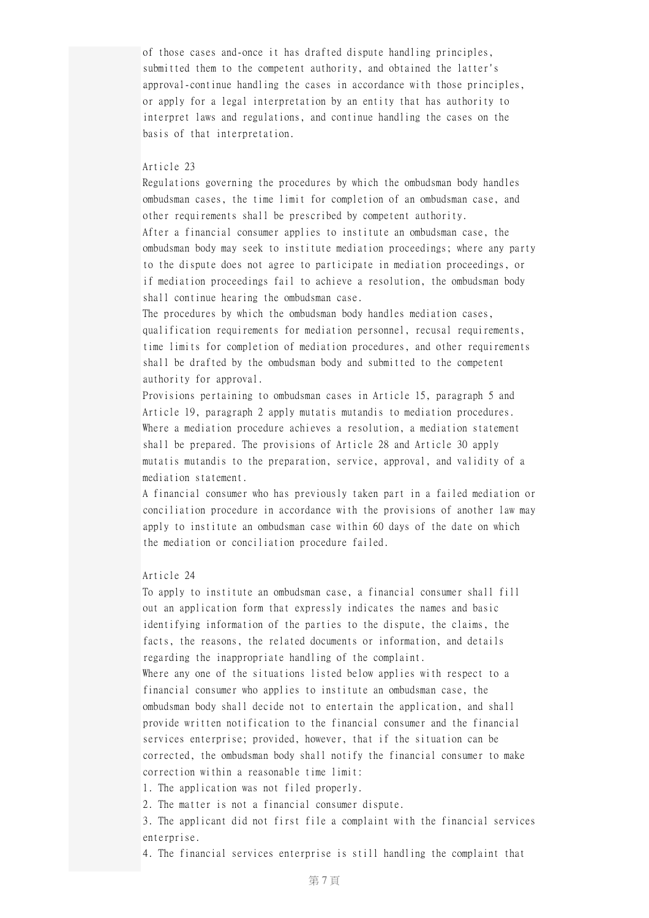of those cases and-once it has drafted dispute handling principles, submitted them to the competent authority, and obtained the latter's approval-continue handling the cases in accordance with those principles, or apply for a legal interpretation by an entity that has authority to interpret laws and regulations, and continue handling the cases on the basis of that interpretation.

#### Article 23

Regulations governing the procedures by which the ombudsman body handles ombudsman cases, the time limit for completion of an ombudsman case, and other requirements shall be prescribed by competent authority. After a financial consumer applies to institute an ombudsman case, the ombudsman body may seek to institute mediation proceedings; where any party to the dispute does not agree to participate in mediation proceedings, or if mediation proceedings fail to achieve a resolution, the ombudsman body shall continue hearing the ombudsman case.

The procedures by which the ombudsman body handles mediation cases, qualification requirements for mediation personnel, recusal requirements, time limits for completion of mediation procedures, and other requirements shall be drafted by the ombudsman body and submitted to the competent authority for approval.

Provisions pertaining to ombudsman cases in Article 15, paragraph 5 and Article 19, paragraph 2 apply mutatis mutandis to mediation procedures. Where a mediation procedure achieves a resolution, a mediation statement shall be prepared. The provisions of Article 28 and Article 30 apply mutatis mutandis to the preparation, service, approval, and validity of a mediation statement.

A financial consumer who has previously taken part in a failed mediation or conciliation procedure in accordance with the provisions of another law may apply to institute an ombudsman case within 60 days of the date on which the mediation or conciliation procedure failed.

#### Article 24

To apply to institute an ombudsman case, a financial consumer shall fill out an application form that expressly indicates the names and basic identifying information of the parties to the dispute, the claims, the facts, the reasons, the related documents or information, and details regarding the inappropriate handling of the complaint. Where any one of the situations listed below applies with respect to a financial consumer who applies to institute an ombudsman case, the ombudsman body shall decide not to entertain the application, and shall provide written notification to the financial consumer and the financial services enterprise; provided, however, that if the situation can be

corrected, the ombudsman body shall notify the financial consumer to make correction within a reasonable time limit:

1. The application was not filed properly.

2. The matter is not a financial consumer dispute.

3. The applicant did not first file a complaint with the financial services enterprise.

4. The financial services enterprise is still handling the complaint that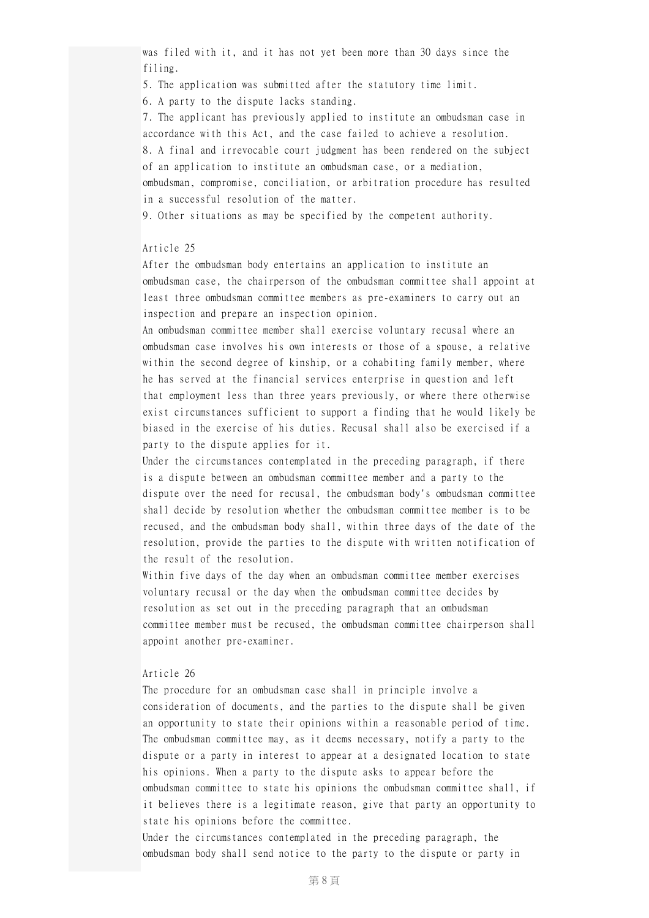was filed with it, and it has not yet been more than 30 days since the filing.

5. The application was submitted after the statutory time limit.

6. A party to the dispute lacks standing.

7. The applicant has previously applied to institute an ombudsman case in accordance with this Act, and the case failed to achieve a resolution.

8. A final and irrevocable court judgment has been rendered on the subject of an application to institute an ombudsman case, or a mediation,

ombudsman, compromise, conciliation, or arbitration procedure has resulted in a successful resolution of the matter.

9. Other situations as may be specified by the competent authority.

## Article 25

After the ombudsman body entertains an application to institute an ombudsman case, the chairperson of the ombudsman committee shall appoint at least three ombudsman committee members as pre-examiners to carry out an inspection and prepare an inspection opinion.

An ombudsman committee member shall exercise voluntary recusal where an ombudsman case involves his own interests or those of a spouse, a relative within the second degree of kinship, or a cohabiting family member, where he has served at the financial services enterprise in question and left that employment less than three years previously, or where there otherwise exist circumstances sufficient to support a finding that he would likely be biased in the exercise of his duties. Recusal shall also be exercised if a party to the dispute applies for it.

Under the circumstances contemplated in the preceding paragraph, if there is a dispute between an ombudsman committee member and a party to the dispute over the need for recusal, the ombudsman body's ombudsman committee shall decide by resolution whether the ombudsman committee member is to be recused, and the ombudsman body shall, within three days of the date of the resolution, provide the parties to the dispute with written notification of the result of the resolution.

Within five days of the day when an ombudsman committee member exercises voluntary recusal or the day when the ombudsman committee decides by resolution as set out in the preceding paragraph that an ombudsman committee member must be recused, the ombudsman committee chairperson shall appoint another pre-examiner.

## Article 26

The procedure for an ombudsman case shall in principle involve a consideration of documents, and the parties to the dispute shall be given an opportunity to state their opinions within a reasonable period of time. The ombudsman committee may, as it deems necessary, notify a party to the dispute or a party in interest to appear at a designated location to state his opinions. When a party to the dispute asks to appear before the ombudsman committee to state his opinions the ombudsman committee shall, if it believes there is a legitimate reason, give that party an opportunity to state his opinions before the committee.

Under the circumstances contemplated in the preceding paragraph, the ombudsman body shall send notice to the party to the dispute or party in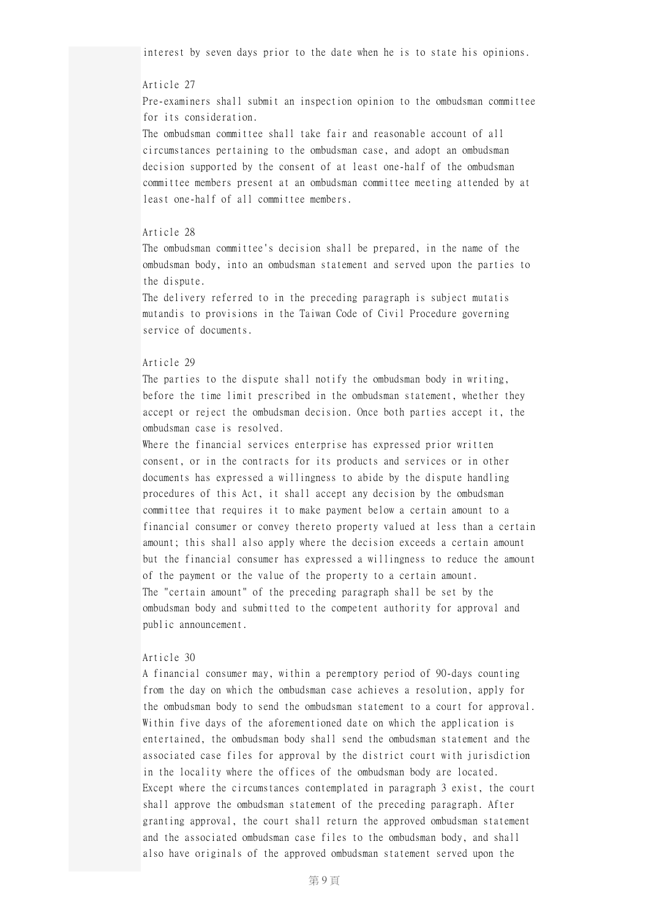interest by seven days prior to the date when he is to state his opinions.

#### Article 27

Pre-examiners shall submit an inspection opinion to the ombudsman committee for its consideration.

The ombudsman committee shall take fair and reasonable account of all circumstances pertaining to the ombudsman case, and adopt an ombudsman decision supported by the consent of at least one-half of the ombudsman committee members present at an ombudsman committee meeting attended by at least one-half of all committee members.

## Article 28

The ombudsman committee's decision shall be prepared, in the name of the ombudsman body, into an ombudsman statement and served upon the parties to the dispute.

The delivery referred to in the preceding paragraph is subject mutatis mutandis to provisions in the Taiwan Code of Civil Procedure governing service of documents.

#### Article 29

The parties to the dispute shall notify the ombudsman body in writing, before the time limit prescribed in the ombudsman statement, whether they accept or reject the ombudsman decision. Once both parties accept it, the ombudsman case is resolved.

Where the financial services enterprise has expressed prior written consent, or in the contracts for its products and services or in other documents has expressed a willingness to abide by the dispute handling procedures of this Act, it shall accept any decision by the ombudsman committee that requires it to make payment below a certain amount to a financial consumer or convey thereto property valued at less than a certain amount; this shall also apply where the decision exceeds a certain amount but the financial consumer has expressed a willingness to reduce the amount of the payment or the value of the property to a certain amount. The "certain amount" of the preceding paragraph shall be set by the ombudsman body and submitted to the competent authority for approval and public announcement.

#### Article 30

A financial consumer may, within a peremptory period of 90-days counting from the day on which the ombudsman case achieves a resolution, apply for the ombudsman body to send the ombudsman statement to a court for approval. Within five days of the aforementioned date on which the application is entertained, the ombudsman body shall send the ombudsman statement and the associated case files for approval by the district court with jurisdiction in the locality where the offices of the ombudsman body are located. Except where the circumstances contemplated in paragraph 3 exist, the court shall approve the ombudsman statement of the preceding paragraph. After granting approval, the court shall return the approved ombudsman statement and the associated ombudsman case files to the ombudsman body, and shall also have originals of the approved ombudsman statement served upon the